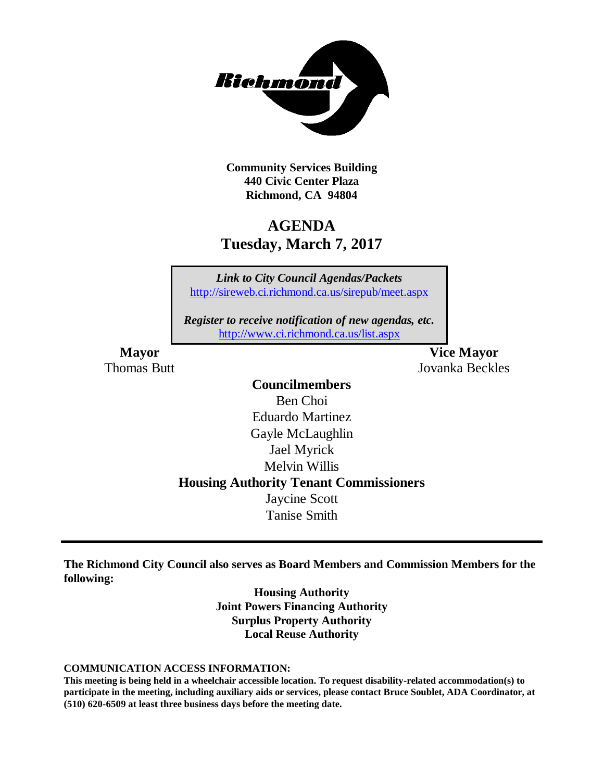

**Community Services Building 440 Civic Center Plaza Richmond, CA 94804**

# **AGENDA Tuesday, March 7, 2017**

*Link to City Council Agendas/Packets* <http://sireweb.ci.richmond.ca.us/sirepub/meet.aspx>

*Register to receive notification of new agendas, etc.* <http://www.ci.richmond.ca.us/list.aspx>

**Mayor Vice Mayor** Thomas Butt Jovanka Beckles

### **Councilmembers**

Ben Choi Eduardo Martinez Gayle McLaughlin Jael Myrick Melvin Willis **Housing Authority Tenant Commissioners** Jaycine Scott Tanise Smith

**The Richmond City Council also serves as Board Members and Commission Members for the following:**

> **Housing Authority Joint Powers Financing Authority Surplus Property Authority Local Reuse Authority**

#### **COMMUNICATION ACCESS INFORMATION:**

**This meeting is being held in a wheelchair accessible location. To request disability-related accommodation(s) to participate in the meeting, including auxiliary aids or services, please contact Bruce Soublet, ADA Coordinator, at (510) 620-6509 at least three business days before the meeting date.**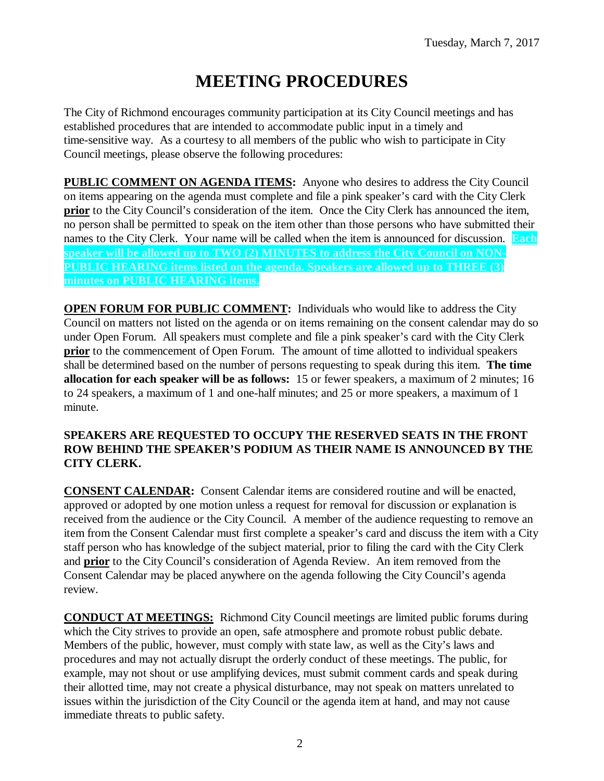# **MEETING PROCEDURES**

The City of Richmond encourages community participation at its City Council meetings and has established procedures that are intended to accommodate public input in a timely and time-sensitive way. As a courtesy to all members of the public who wish to participate in City Council meetings, please observe the following procedures:

**PUBLIC COMMENT ON AGENDA ITEMS:** Anyone who desires to address the City Council on items appearing on the agenda must complete and file a pink speaker's card with the City Clerk **prior** to the City Council's consideration of the item. Once the City Clerk has announced the item, no person shall be permitted to speak on the item other than those persons who have submitted their names to the City Clerk. Your name will be called when the item is announced for discussion. **Each speaker will be allowed up to TWO (2) MINUTES to address the City Council on NON-PUBLIC HEARING items listed on the agenda. Speakers are allowed up to THREE (3) minutes on PUBLIC HEARING items.**

**OPEN FORUM FOR PUBLIC COMMENT:** Individuals who would like to address the City Council on matters not listed on the agenda or on items remaining on the consent calendar may do so under Open Forum. All speakers must complete and file a pink speaker's card with the City Clerk **prior** to the commencement of Open Forum. The amount of time allotted to individual speakers shall be determined based on the number of persons requesting to speak during this item. **The time allocation for each speaker will be as follows:** 15 or fewer speakers, a maximum of 2 minutes; 16 to 24 speakers, a maximum of 1 and one-half minutes; and 25 or more speakers, a maximum of 1 minute.

### **SPEAKERS ARE REQUESTED TO OCCUPY THE RESERVED SEATS IN THE FRONT ROW BEHIND THE SPEAKER'S PODIUM AS THEIR NAME IS ANNOUNCED BY THE CITY CLERK.**

**CONSENT CALENDAR:** Consent Calendar items are considered routine and will be enacted, approved or adopted by one motion unless a request for removal for discussion or explanation is received from the audience or the City Council. A member of the audience requesting to remove an item from the Consent Calendar must first complete a speaker's card and discuss the item with a City staff person who has knowledge of the subject material, prior to filing the card with the City Clerk and **prior** to the City Council's consideration of Agenda Review. An item removed from the Consent Calendar may be placed anywhere on the agenda following the City Council's agenda review.

**CONDUCT AT MEETINGS:** Richmond City Council meetings are limited public forums during which the City strives to provide an open, safe atmosphere and promote robust public debate. Members of the public, however, must comply with state law, as well as the City's laws and procedures and may not actually disrupt the orderly conduct of these meetings. The public, for example, may not shout or use amplifying devices, must submit comment cards and speak during their allotted time, may not create a physical disturbance, may not speak on matters unrelated to issues within the jurisdiction of the City Council or the agenda item at hand, and may not cause immediate threats to public safety.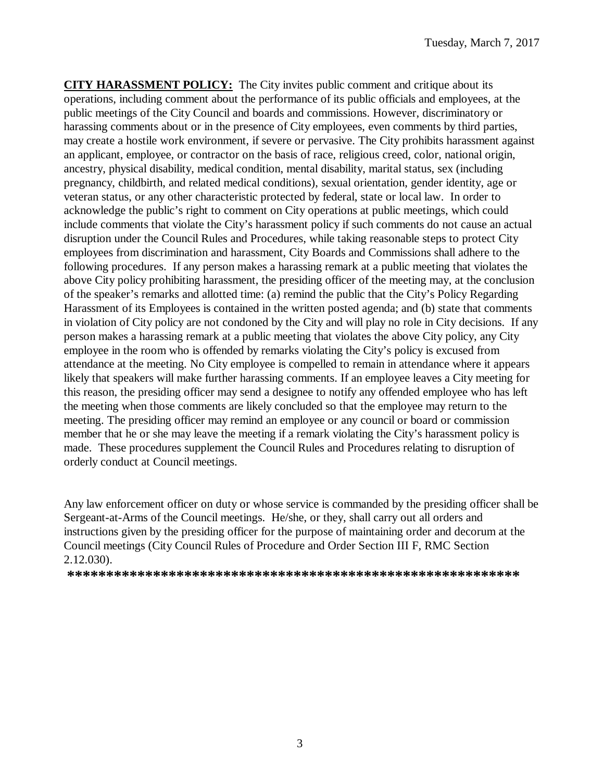**CITY HARASSMENT POLICY:** The City invites public comment and critique about its operations, including comment about the performance of its public officials and employees, at the public meetings of the City Council and boards and commissions. However, discriminatory or harassing comments about or in the presence of City employees, even comments by third parties, may create a hostile work environment, if severe or pervasive. The City prohibits harassment against an applicant, employee, or contractor on the basis of race, religious creed, color, national origin, ancestry, physical disability, medical condition, mental disability, marital status, sex (including pregnancy, childbirth, and related medical conditions), sexual orientation, gender identity, age or veteran status, or any other characteristic protected by federal, state or local law. In order to acknowledge the public's right to comment on City operations at public meetings, which could include comments that violate the City's harassment policy if such comments do not cause an actual disruption under the Council Rules and Procedures, while taking reasonable steps to protect City employees from discrimination and harassment, City Boards and Commissions shall adhere to the following procedures. If any person makes a harassing remark at a public meeting that violates the above City policy prohibiting harassment, the presiding officer of the meeting may, at the conclusion of the speaker's remarks and allotted time: (a) remind the public that the City's Policy Regarding Harassment of its Employees is contained in the written posted agenda; and (b) state that comments in violation of City policy are not condoned by the City and will play no role in City decisions. If any person makes a harassing remark at a public meeting that violates the above City policy, any City employee in the room who is offended by remarks violating the City's policy is excused from attendance at the meeting. No City employee is compelled to remain in attendance where it appears likely that speakers will make further harassing comments. If an employee leaves a City meeting for this reason, the presiding officer may send a designee to notify any offended employee who has left the meeting when those comments are likely concluded so that the employee may return to the meeting. The presiding officer may remind an employee or any council or board or commission member that he or she may leave the meeting if a remark violating the City's harassment policy is made. These procedures supplement the Council Rules and Procedures relating to disruption of orderly conduct at Council meetings.

Any law enforcement officer on duty or whose service is commanded by the presiding officer shall be Sergeant-at-Arms of the Council meetings. He/she, or they, shall carry out all orders and instructions given by the presiding officer for the purpose of maintaining order and decorum at the Council meetings (City Council Rules of Procedure and Order Section III F, RMC Section 2.12.030).

**\*\*\*\*\*\*\*\*\*\*\*\*\*\*\*\*\*\*\*\*\*\*\*\*\*\*\*\*\*\*\*\*\*\*\*\*\*\*\*\*\*\*\*\*\*\*\*\*\*\*\*\*\*\*\*\*\*\***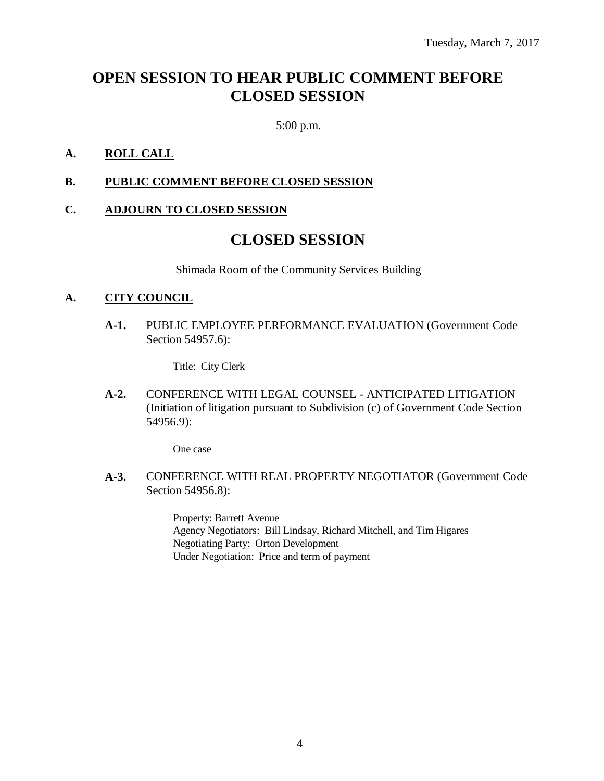# **OPEN SESSION TO HEAR PUBLIC COMMENT BEFORE CLOSED SESSION**

5:00 p.m.

### **A. ROLL CALL**

### **B. PUBLIC COMMENT BEFORE CLOSED SESSION**

### **C. ADJOURN TO CLOSED SESSION**

# **CLOSED SESSION**

Shimada Room of the Community Services Building

#### **A. CITY COUNCIL**

**A-1.** PUBLIC EMPLOYEE PERFORMANCE EVALUATION (Government Code Section 54957.6):

Title: City Clerk

**A-2.** CONFERENCE WITH LEGAL COUNSEL - ANTICIPATED LITIGATION (Initiation of litigation pursuant to Subdivision (c) of Government Code Section 54956.9):

One case

**A-3.** CONFERENCE WITH REAL PROPERTY NEGOTIATOR (Government Code Section 54956.8):

> Property: Barrett Avenue Agency Negotiators: Bill Lindsay, Richard Mitchell, and Tim Higares Negotiating Party: Orton Development Under Negotiation: Price and term of payment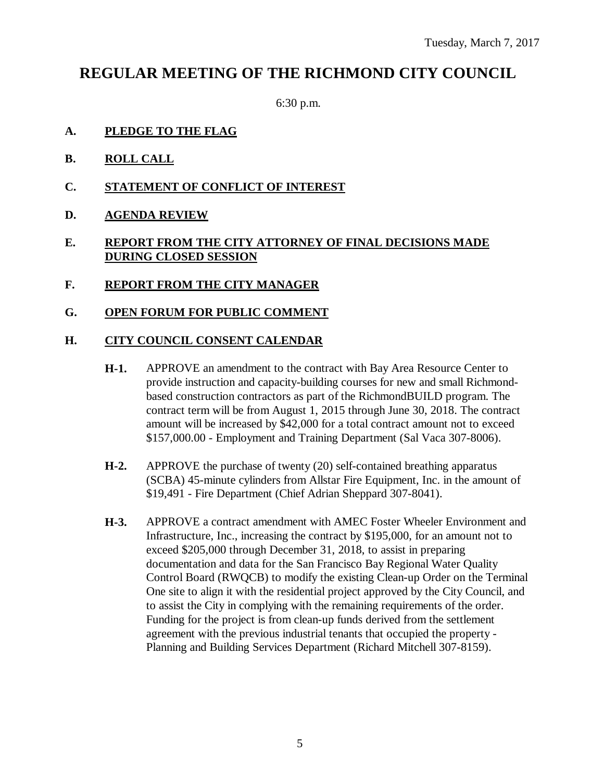# **REGULAR MEETING OF THE RICHMOND CITY COUNCIL**

6:30 p.m.

- **A. PLEDGE TO THE FLAG**
- **B. ROLL CALL**
- **C. STATEMENT OF CONFLICT OF INTEREST**
- **D. AGENDA REVIEW**

## **E. REPORT FROM THE CITY ATTORNEY OF FINAL DECISIONS MADE DURING CLOSED SESSION**

- **F. REPORT FROM THE CITY MANAGER**
- **G. OPEN FORUM FOR PUBLIC COMMENT**

### **H. CITY COUNCIL CONSENT CALENDAR**

- **H-1.** APPROVE an amendment to the contract with Bay Area Resource Center to provide instruction and capacity-building courses for new and small Richmondbased construction contractors as part of the RichmondBUILD program. The contract term will be from August 1, 2015 through June 30, 2018. The contract amount will be increased by \$42,000 for a total contract amount not to exceed \$157,000.00 - Employment and Training Department (Sal Vaca 307-8006).
- **H-2.** APPROVE the purchase of twenty (20) self-contained breathing apparatus (SCBA) 45-minute cylinders from Allstar Fire Equipment, Inc. in the amount of \$19,491 - Fire Department (Chief Adrian Sheppard 307-8041).
- **H-3.** APPROVE a contract amendment with AMEC Foster Wheeler Environment and Infrastructure, Inc., increasing the contract by \$195,000, for an amount not to exceed \$205,000 through December 31, 2018, to assist in preparing documentation and data for the San Francisco Bay Regional Water Quality Control Board (RWQCB) to modify the existing Clean-up Order on the Terminal One site to align it with the residential project approved by the City Council, and to assist the City in complying with the remaining requirements of the order. Funding for the project is from clean-up funds derived from the settlement agreement with the previous industrial tenants that occupied the property - Planning and Building Services Department (Richard Mitchell 307-8159).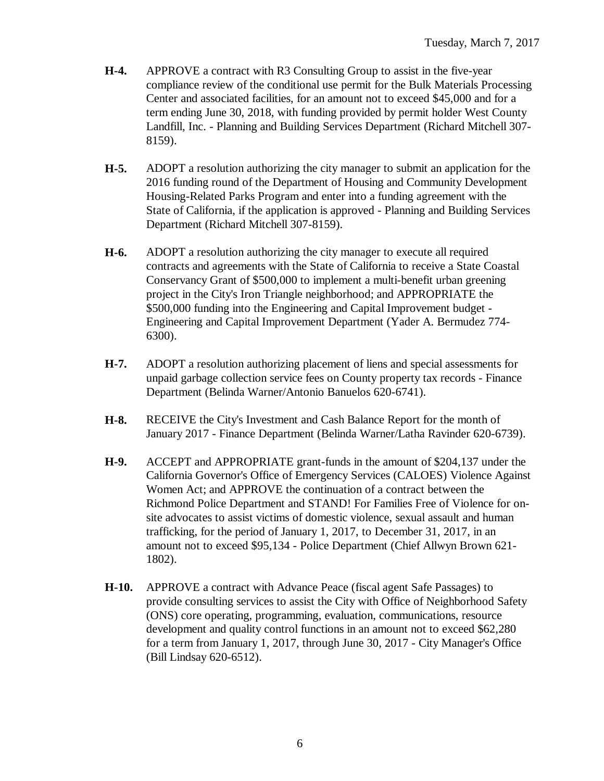- **H-4.** APPROVE a contract with R3 Consulting Group to assist in the five-year compliance review of the conditional use permit for the Bulk Materials Processing Center and associated facilities, for an amount not to exceed \$45,000 and for a term ending June 30, 2018, with funding provided by permit holder West County Landfill, Inc. - Planning and Building Services Department (Richard Mitchell 307- 8159).
- **H-5.** ADOPT a resolution authorizing the city manager to submit an application for the 2016 funding round of the Department of Housing and Community Development Housing-Related Parks Program and enter into a funding agreement with the State of California, if the application is approved - Planning and Building Services Department (Richard Mitchell 307-8159).
- **H-6.** ADOPT a resolution authorizing the city manager to execute all required contracts and agreements with the State of California to receive a State Coastal Conservancy Grant of \$500,000 to implement a multi-benefit urban greening project in the City's Iron Triangle neighborhood; and APPROPRIATE the \$500,000 funding into the Engineering and Capital Improvement budget - Engineering and Capital Improvement Department (Yader A. Bermudez 774- 6300).
- **H-7.** ADOPT a resolution authorizing placement of liens and special assessments for unpaid garbage collection service fees on County property tax records - Finance Department (Belinda Warner/Antonio Banuelos 620-6741).
- **H-8.** RECEIVE the City's Investment and Cash Balance Report for the month of January 2017 - Finance Department (Belinda Warner/Latha Ravinder 620-6739).
- **H-9.** ACCEPT and APPROPRIATE grant-funds in the amount of \$204,137 under the California Governor's Office of Emergency Services (CALOES) Violence Against Women Act; and APPROVE the continuation of a contract between the Richmond Police Department and STAND! For Families Free of Violence for onsite advocates to assist victims of domestic violence, sexual assault and human trafficking, for the period of January 1, 2017, to December 31, 2017, in an amount not to exceed \$95,134 - Police Department (Chief Allwyn Brown 621- 1802).
- **H-10.** APPROVE a contract with Advance Peace (fiscal agent Safe Passages) to provide consulting services to assist the City with Office of Neighborhood Safety (ONS) core operating, programming, evaluation, communications, resource development and quality control functions in an amount not to exceed \$62,280 for a term from January 1, 2017, through June 30, 2017 - City Manager's Office (Bill Lindsay 620-6512).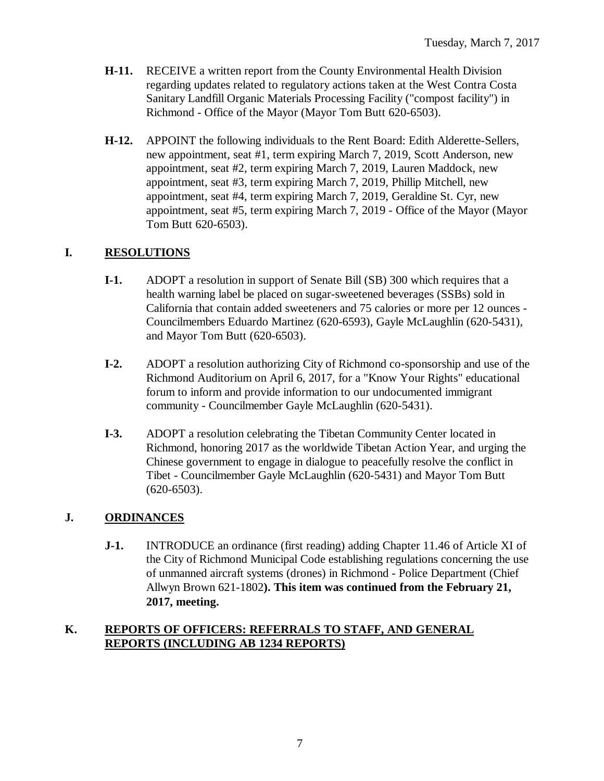- **H-11.** RECEIVE a written report from the County Environmental Health Division regarding updates related to regulatory actions taken at the West Contra Costa Sanitary Landfill Organic Materials Processing Facility ("compost facility") in Richmond - Office of the Mayor (Mayor Tom Butt 620-6503).
- **H-12.** APPOINT the following individuals to the Rent Board: Edith Alderette-Sellers, new appointment, seat #1, term expiring March 7, 2019, Scott Anderson, new appointment, seat #2, term expiring March 7, 2019, Lauren Maddock, new appointment, seat #3, term expiring March 7, 2019, Phillip Mitchell, new appointment, seat #4, term expiring March 7, 2019, Geraldine St. Cyr, new appointment, seat #5, term expiring March 7, 2019 - Office of the Mayor (Mayor Tom Butt 620-6503).

# **I. RESOLUTIONS**

- **I-1.** ADOPT a resolution in support of Senate Bill (SB) 300 which requires that a health warning label be placed on sugar-sweetened beverages (SSBs) sold in California that contain added sweeteners and 75 calories or more per 12 ounces - Councilmembers Eduardo Martinez (620-6593), Gayle McLaughlin (620-5431), and Mayor Tom Butt (620-6503).
- **I-2.** ADOPT a resolution authorizing City of Richmond co-sponsorship and use of the Richmond Auditorium on April 6, 2017, for a "Know Your Rights" educational forum to inform and provide information to our undocumented immigrant community - Councilmember Gayle McLaughlin (620-5431).
- **I-3.** ADOPT a resolution celebrating the Tibetan Community Center located in Richmond, honoring 2017 as the worldwide Tibetan Action Year, and urging the Chinese government to engage in dialogue to peacefully resolve the conflict in Tibet - Councilmember Gayle McLaughlin (620-5431) and Mayor Tom Butt (620-6503).

# **J. ORDINANCES**

**J-1.** INTRODUCE an ordinance (first reading) adding Chapter 11.46 of Article XI of the City of Richmond Municipal Code establishing regulations concerning the use of unmanned aircraft systems (drones) in Richmond - Police Department (Chief Allwyn Brown 621-1802**). This item was continued from the February 21, 2017, meeting.**

## **K. REPORTS OF OFFICERS: REFERRALS TO STAFF, AND GENERAL REPORTS (INCLUDING AB 1234 REPORTS)**